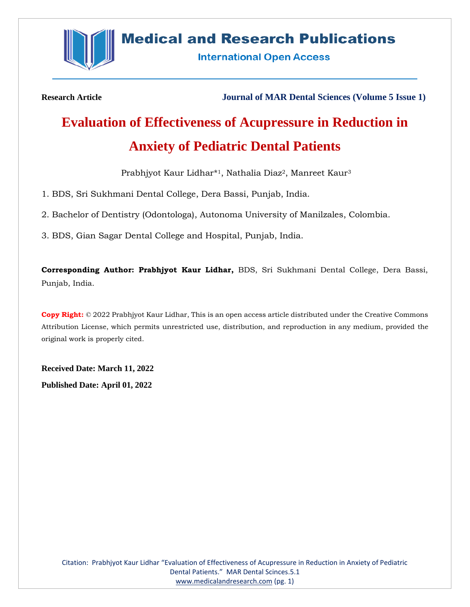

# **Medical and Research Publications**

**International Open Access** 

**Research Article Journal of MAR Dental Sciences (Volume 5 Issue 1)**

# **Evaluation of Effectiveness of Acupressure in Reduction in Anxiety of Pediatric Dental Patients**

Prabhjyot Kaur Lidhar\* <sup>1</sup>, Nathalia Diaz2, Manreet Kaur<sup>3</sup>

1. BDS, Sri Sukhmani Dental College, Dera Bassi, Punjab, India.

2. Bachelor of Dentistry (Odontologa), Autonoma University of Manilzales, Colombia.

3. BDS, Gian Sagar Dental College and Hospital, Punjab, India.

**Corresponding Author: Prabhjyot Kaur Lidhar,** BDS, Sri Sukhmani Dental College, Dera Bassi, Punjab, India.

**Copy Right:** © 2022 Prabhjyot Kaur Lidhar, This is an open access article distributed under the Creative Commons Attribution License, which permits unrestricted use, distribution, and reproduction in any medium, provided the original work is properly cited.

**Received Date: March 11, 2022 Published Date: April 01, 2022**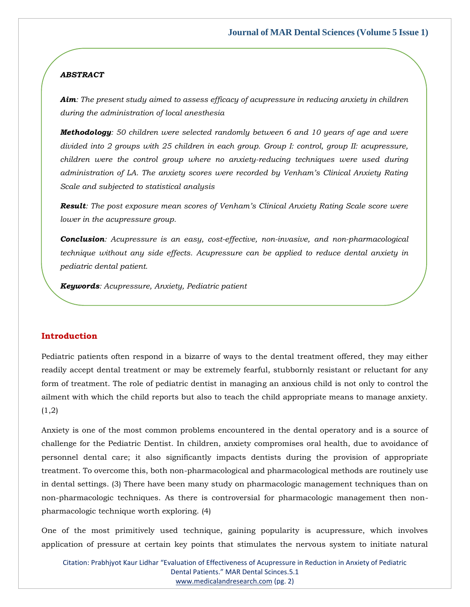## *ABSTRACT*

*Aim: The present study aimed to assess efficacy of acupressure in reducing anxiety in children during the administration of local anesthesia*

*Methodology: 50 children were selected randomly between 6 and 10 years of age and were divided into 2 groups with 25 children in each group. Group I: control, group II: acupressure, children were the control group where no anxiety-reducing techniques were used during administration of LA. The anxiety scores were recorded by Venham's Clinical Anxiety Rating Scale and subjected to statistical analysis*

*Result: The post exposure mean scores of Venham's Clinical Anxiety Rating Scale score were lower in the acupressure group.*

*Conclusion: Acupressure is an easy, cost-effective, non-invasive, and non-pharmacological technique without any side effects. Acupressure can be applied to reduce dental anxiety in pediatric dental patient.*

*Keywords: Acupressure, Anxiety, Pediatric patient*

#### **Introduction**

Pediatric patients often respond in a bizarre of ways to the dental treatment offered, they may either readily accept dental treatment or may be extremely fearful, stubbornly resistant or reluctant for any form of treatment. The role of pediatric dentist in managing an anxious child is not only to control the ailment with which the child reports but also to teach the child appropriate means to manage anxiety.  $(1,2)$ 

Anxiety is one of the most common problems encountered in the dental operatory and is a source of challenge for the Pediatric Dentist. In children, anxiety compromises oral health, due to avoidance of personnel dental care; it also significantly impacts dentists during the provision of appropriate treatment. To overcome this, both non-pharmacological and pharmacological methods are routinely use in dental settings. (3) There have been many study on pharmacologic management techniques than on non-pharmacologic techniques. As there is controversial for pharmacologic management then nonpharmacologic technique worth exploring. (4)

One of the most primitively used technique, gaining popularity is acupressure, which involves application of pressure at certain key points that stimulates the nervous system to initiate natural

Citation: Prabhjyot Kaur Lidhar "Evaluation of Effectiveness of Acupressure in Reduction in Anxiety of Pediatric Dental Patients." MAR Dental Scinces.5.1 [www.medicalandresearch.com](http://www.medicalandresearch.com/) (pg. 2)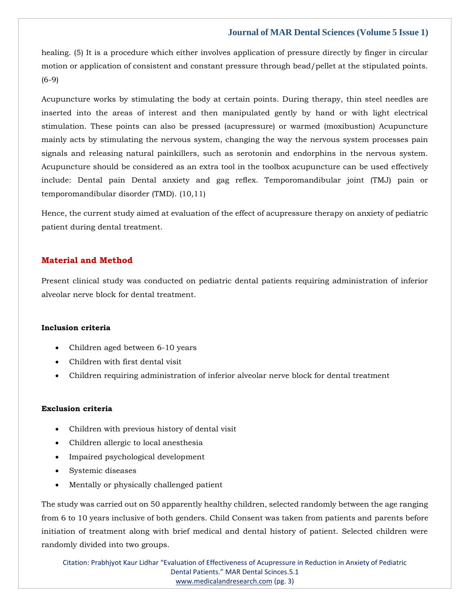# **Journal of MAR Dental Sciences (Volume 5 Issue 1)**

healing. (5) It is a procedure which either involves application of pressure directly by finger in circular motion or application of consistent and constant pressure through bead/pellet at the stipulated points. (6-9)

Acupuncture works by stimulating the body at certain points. During therapy, thin steel needles are inserted into the areas of interest and then manipulated gently by hand or with light electrical stimulation. These points can also be pressed (acupressure) or warmed (moxibustion) Acupuncture mainly acts by stimulating the nervous system, changing the way the nervous system processes pain signals and releasing natural painkillers, such as serotonin and endorphins in the nervous system. Acupuncture should be considered as an extra tool in the toolbox acupuncture can be used effectively include: Dental pain Dental anxiety and gag reflex. Temporomandibular joint (TMJ) pain or temporomandibular disorder (TMD). (10,11)

Hence, the current study aimed at evaluation of the effect of acupressure therapy on anxiety of pediatric patient during dental treatment.

# **Material and Method**

Present clinical study was conducted on pediatric dental patients requiring administration of inferior alveolar nerve block for dental treatment.

#### **Inclusion criteria**

- Children aged between 6-10 years
- Children with first dental visit
- Children requiring administration of inferior alveolar nerve block for dental treatment

#### **Exclusion criteria**

- Children with previous history of dental visit
- Children allergic to local anesthesia
- Impaired psychological development
- Systemic diseases
- Mentally or physically challenged patient

The study was carried out on 50 apparently healthy children, selected randomly between the age ranging from 6 to 10 years inclusive of both genders. Child Consent was taken from patients and parents before initiation of treatment along with brief medical and dental history of patient. Selected children were randomly divided into two groups.

Citation: Prabhjyot Kaur Lidhar "Evaluation of Effectiveness of Acupressure in Reduction in Anxiety of Pediatric Dental Patients." MAR Dental Scinces.5.1 [www.medicalandresearch.com](http://www.medicalandresearch.com/) (pg. 3)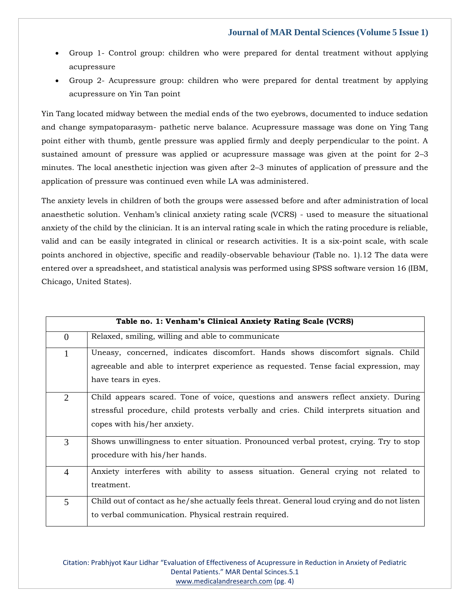- Group 1- Control group: children who were prepared for dental treatment without applying acupressure
- Group 2- Acupressure group: children who were prepared for dental treatment by applying acupressure on Yin Tan point

Yin Tang located midway between the medial ends of the two eyebrows, documented to induce sedation and change sympatoparasym- pathetic nerve balance. Acupressure massage was done on Ying Tang point either with thumb, gentle pressure was applied firmly and deeply perpendicular to the point. A sustained amount of pressure was applied or acupressure massage was given at the point for 2–3 minutes. The local anesthetic injection was given after 2–3 minutes of application of pressure and the application of pressure was continued even while LA was administered.

The anxiety levels in children of both the groups were assessed before and after administration of local anaesthetic solution. Venham's clinical anxiety rating scale (VCRS) - used to measure the situational anxiety of the child by the clinician. It is an interval rating scale in which the rating procedure is reliable, valid and can be easily integrated in clinical or research activities. It is a six-point scale, with scale points anchored in objective, specific and readily-observable behaviour (Table no. 1).12 The data were entered over a spreadsheet, and statistical analysis was performed using SPSS software version 16 (IBM, Chicago, United States).

| Table no. 1: Venham's Clinical Anxiety Rating Scale (VCRS) |                                                                                                                                                                                                             |  |  |
|------------------------------------------------------------|-------------------------------------------------------------------------------------------------------------------------------------------------------------------------------------------------------------|--|--|
| $\overline{0}$                                             | Relaxed, smiling, willing and able to communicate                                                                                                                                                           |  |  |
| $\mathbf{1}$                                               | Uneasy, concerned, indicates discomfort. Hands shows discomfort signals. Child<br>agreeable and able to interpret experience as requested. Tense facial expression, may<br>have tears in eyes.              |  |  |
| $\overline{2}$                                             | Child appears scared. Tone of voice, questions and answers reflect anxiety. During<br>stressful procedure, child protests verbally and cries. Child interprets situation and<br>copes with his/her anxiety. |  |  |
| 3                                                          | Shows unwillingness to enter situation. Pronounced verbal protest, crying. Try to stop<br>procedure with his/her hands.                                                                                     |  |  |
| $\overline{4}$                                             | Anxiety interferes with ability to assess situation. General crying not related to<br>treatment.                                                                                                            |  |  |
| 5                                                          | Child out of contact as he/she actually feels threat. General loud crying and do not listen<br>to verbal communication. Physical restrain required.                                                         |  |  |

Citation: Prabhjyot Kaur Lidhar "Evaluation of Effectiveness of Acupressure in Reduction in Anxiety of Pediatric Dental Patients." MAR Dental Scinces.5.1 [www.medicalandresearch.com](http://www.medicalandresearch.com/) (pg. 4)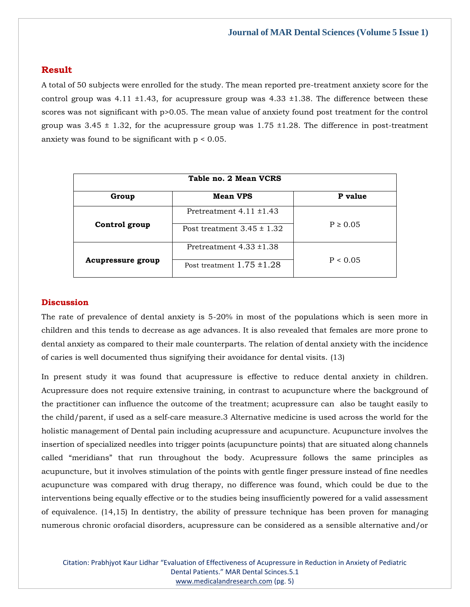## **Result**

A total of 50 subjects were enrolled for the study. The mean reported pre-treatment anxiety score for the control group was 4.11  $\pm$ 1.43, for acupressure group was 4.33  $\pm$ 1.38. The difference between these scores was not significant with p>0.05. The mean value of anxiety found post treatment for the control group was  $3.45 \pm 1.32$ , for the acupressure group was  $1.75 \pm 1.28$ . The difference in post-treatment anxiety was found to be significant with  $p < 0.05$ .

| Table no. 2 Mean VCRS    |                                |              |  |
|--------------------------|--------------------------------|--------------|--|
| Group                    | <b>Mean VPS</b>                | P value      |  |
|                          | Pretreatment $4.11 \pm 1.43$   |              |  |
| Control group            | Post treatment $3.45 \pm 1.32$ | $P \ge 0.05$ |  |
|                          | Pretreatment $4.33 \pm 1.38$   |              |  |
| <b>Acupressure group</b> | Post treatment $1.75 \pm 1.28$ | P < 0.05     |  |

#### **Discussion**

The rate of prevalence of dental anxiety is 5-20% in most of the populations which is seen more in children and this tends to decrease as age advances. It is also revealed that females are more prone to dental anxiety as compared to their male counterparts. The relation of dental anxiety with the incidence of caries is well documented thus signifying their avoidance for dental visits. (13)

In present study it was found that acupressure is effective to reduce dental anxiety in children. Acupressure does not require extensive training, in contrast to acupuncture where the background of the practitioner can influence the outcome of the treatment; acupressure can also be taught easily to the child/parent, if used as a self-care measure.3 Alternative medicine is used across the world for the holistic management of Dental pain including acupressure and acupuncture. Acupuncture involves the insertion of specialized needles into trigger points (acupuncture points) that are situated along channels called "meridians" that run throughout the body. Acupressure follows the same principles as acupuncture, but it involves stimulation of the points with gentle finger pressure instead of fine needles acupuncture was compared with drug therapy, no difference was found, which could be due to the interventions being equally effective or to the studies being insufficiently powered for a valid assessment of equivalence. (14,15) In dentistry, the ability of pressure technique has been proven for managing numerous chronic orofacial disorders, acupressure can be considered as a sensible alternative and/or

Citation: Prabhjyot Kaur Lidhar "Evaluation of Effectiveness of Acupressure in Reduction in Anxiety of Pediatric Dental Patients." MAR Dental Scinces.5.1 [www.medicalandresearch.com](http://www.medicalandresearch.com/) (pg. 5)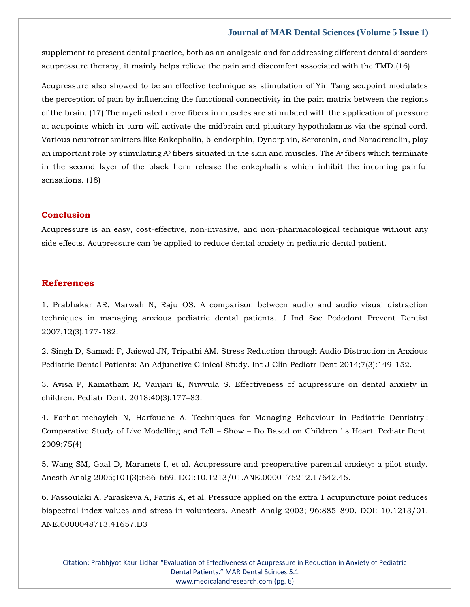#### **Journal of MAR Dental Sciences (Volume 5 Issue 1)**

supplement to present dental practice, both as an analgesic and for addressing different dental disorders acupressure therapy, it mainly helps relieve the pain and discomfort associated with the TMD.(16)

Acupressure also showed to be an effective technique as stimulation of Yin Tang acupoint modulates the perception of pain by influencing the functional connectivity in the pain matrix between the regions of the brain. (17) The myelinated nerve fibers in muscles are stimulated with the application of pressure at acupoints which in turn will activate the midbrain and pituitary hypothalamus via the spinal cord. Various neurotransmitters like Enkephalin, b-endorphin, Dynorphin, Serotonin, and Noradrenalin, play an important role by stimulating  $A^{\delta}$  fibers situated in the skin and muscles. The  $A^{\delta}$  fibers which terminate in the second layer of the black horn release the enkephalins which inhibit the incoming painful sensations. (18)

# **Conclusion**

Acupressure is an easy, cost-effective, non-invasive, and non-pharmacological technique without any side effects. Acupressure can be applied to reduce dental anxiety in pediatric dental patient.

#### **References**

[1. Prabhakar AR, Marwah N, Raju OS. A comparison between audio and audio visual distraction](https://www.google.com/search?q=A+comparison+between+audio+and+audio+visual+distraction+techniques+in+managing+anxious+pediatric+dental+patients&sxsrf=APq-WBt1JgroSYyz9p8Ivw8xxdH8SIal-Q%3A1647249750047&ei=VgkvYt27AtzH4-EP28mP2AQ&ved=0ahUKEwjdvtTBo8X2AhXc4zgGHdvkA0sQ4dUDCA4&oq=A+comparison+between+audio+and+audio+visual+distraction+techniques+in+managing+anxious+pediatric+dental+patients&gs_lcp=Cgdnd3Mtd2l6EAwyBwgjEOoCECcyBwgjEOoCECcyBwgjEOoCECcyBwgjEOoCECcyBwgjEOoCECcyBwgjEOoCECcyBwgjEOoCECcyBwgjEOoCECcyBwgjEOoCECcyBwgjEOoCECdKBAhBGABKBAhGGABQlgdYlgdgzgtoAXAAeACAAQCIAQCSAQCYAQCgAQGgAQKwAQrAAQE&sclient=gws-wiz)  [techniques in managing anxious pediatric dental patients. J Ind Soc Pedodont Prevent Dentist](https://www.google.com/search?q=A+comparison+between+audio+and+audio+visual+distraction+techniques+in+managing+anxious+pediatric+dental+patients&sxsrf=APq-WBt1JgroSYyz9p8Ivw8xxdH8SIal-Q%3A1647249750047&ei=VgkvYt27AtzH4-EP28mP2AQ&ved=0ahUKEwjdvtTBo8X2AhXc4zgGHdvkA0sQ4dUDCA4&oq=A+comparison+between+audio+and+audio+visual+distraction+techniques+in+managing+anxious+pediatric+dental+patients&gs_lcp=Cgdnd3Mtd2l6EAwyBwgjEOoCECcyBwgjEOoCECcyBwgjEOoCECcyBwgjEOoCECcyBwgjEOoCECcyBwgjEOoCECcyBwgjEOoCECcyBwgjEOoCECcyBwgjEOoCECcyBwgjEOoCECdKBAhBGABKBAhGGABQlgdYlgdgzgtoAXAAeACAAQCIAQCSAQCYAQCgAQGgAQKwAQrAAQE&sclient=gws-wiz) [2007;12\(3\):177-182.](https://www.google.com/search?q=A+comparison+between+audio+and+audio+visual+distraction+techniques+in+managing+anxious+pediatric+dental+patients&sxsrf=APq-WBt1JgroSYyz9p8Ivw8xxdH8SIal-Q%3A1647249750047&ei=VgkvYt27AtzH4-EP28mP2AQ&ved=0ahUKEwjdvtTBo8X2AhXc4zgGHdvkA0sQ4dUDCA4&oq=A+comparison+between+audio+and+audio+visual+distraction+techniques+in+managing+anxious+pediatric+dental+patients&gs_lcp=Cgdnd3Mtd2l6EAwyBwgjEOoCECcyBwgjEOoCECcyBwgjEOoCECcyBwgjEOoCECcyBwgjEOoCECcyBwgjEOoCECcyBwgjEOoCECcyBwgjEOoCECcyBwgjEOoCECcyBwgjEOoCECdKBAhBGABKBAhGGABQlgdYlgdgzgtoAXAAeACAAQCIAQCSAQCYAQCgAQGgAQKwAQrAAQE&sclient=gws-wiz)

[2. Singh D, Samadi F, Jaiswal JN, Tripathi AM. Stress Reduction through Audio Distraction in Anxious](https://www.google.com/search?q=Stress+Reduction+through+Audio+Distraction+in+Anxious+Pediatric+Dental+Patients%3A+An+Adjunctive+Clinical+Study&sxsrf=APq-WBtIWdfHVHaQQAFW1DH6XLawksRfig%3A1647253776999&ei=EBkvYue2PNLzhwOu9o-gCQ&ved=0ahUKEwjn_u3BssX2AhXS-WEKHS77A5QQ4dUDCA4&oq=Stress+Reduction+through+Audio+Distraction+in+Anxious+Pediatric+Dental+Patients%3A+An+Adjunctive+Clinical+Study&gs_lcp=Cgdnd3Mtd2l6EAwyBwgjEOoCECcyBwgjEOoCECcyBwgjEOoCECcyBwgjEOoCECcyBwgjEOoCECcyBwgjEOoCECcyBwgjEOoCECcyBwgjEOoCECcyBwgjEOoCECcyBwgjEOoCECdKBAhBGABKBAhGGABQpANYpANgygdoAXAAeACAAQCIAQCSAQCYAQCgAQGgAQKwAQrAAQE&sclient=gws-wiz)  Pediatric Dental [Patients: An Adjunctive Clinical Study. Int J Clin Pediatr Dent 2014;7\(3\):149-152.](https://www.google.com/search?q=Stress+Reduction+through+Audio+Distraction+in+Anxious+Pediatric+Dental+Patients%3A+An+Adjunctive+Clinical+Study&sxsrf=APq-WBtIWdfHVHaQQAFW1DH6XLawksRfig%3A1647253776999&ei=EBkvYue2PNLzhwOu9o-gCQ&ved=0ahUKEwjn_u3BssX2AhXS-WEKHS77A5QQ4dUDCA4&oq=Stress+Reduction+through+Audio+Distraction+in+Anxious+Pediatric+Dental+Patients%3A+An+Adjunctive+Clinical+Study&gs_lcp=Cgdnd3Mtd2l6EAwyBwgjEOoCECcyBwgjEOoCECcyBwgjEOoCECcyBwgjEOoCECcyBwgjEOoCECcyBwgjEOoCECcyBwgjEOoCECcyBwgjEOoCECcyBwgjEOoCECcyBwgjEOoCECdKBAhBGABKBAhGGABQpANYpANgygdoAXAAeACAAQCIAQCSAQCYAQCgAQGgAQKwAQrAAQE&sclient=gws-wiz)

[3. Avisa P, Kamatham R, Vanjari K, Nuvvula S. Effectiveness of acupressure on dental anxiety in](https://www.google.com/search?q=Effectiveness+of+acupressure+on+dental+anxiety+in+children&sxsrf=APq-WBtd_ud4-vgxwN2GG2xGgBd-EZygvw%3A1647253793133&ei=IRkvYunoB8ahoASZ8biwBA&ved=0ahUKEwip_cbJssX2AhXGEIgKHZk4DkYQ4dUDCA4&oq=Effectiveness+of+acupressure+on+dental+anxiety+in+children&gs_lcp=Cgdnd3Mtd2l6EAwyBwgjEOoCECcyBwgjEOoCECcyBwgjEOoCECcyBwgjEOoCECcyBwgjEOoCECcyBwgjEOoCECcyBwgjEOoCECcyBwgjEOoCECcyBwgjEOoCECcyBwgjEOoCECdKBAhBGABKBAhGGABQkANYkANg7AZoAXAAeACAAQCIAQCSAQCYAQCgAQGgAQKwAQrAAQE&sclient=gws-wiz)  [children. Pediatr Dent. 2018;40\(3\):177](https://www.google.com/search?q=Effectiveness+of+acupressure+on+dental+anxiety+in+children&sxsrf=APq-WBtd_ud4-vgxwN2GG2xGgBd-EZygvw%3A1647253793133&ei=IRkvYunoB8ahoASZ8biwBA&ved=0ahUKEwip_cbJssX2AhXGEIgKHZk4DkYQ4dUDCA4&oq=Effectiveness+of+acupressure+on+dental+anxiety+in+children&gs_lcp=Cgdnd3Mtd2l6EAwyBwgjEOoCECcyBwgjEOoCECcyBwgjEOoCECcyBwgjEOoCECcyBwgjEOoCECcyBwgjEOoCECcyBwgjEOoCECcyBwgjEOoCECcyBwgjEOoCECcyBwgjEOoCECdKBAhBGABKBAhGGABQkANYkANg7AZoAXAAeACAAQCIAQCSAQCYAQCgAQGgAQKwAQrAAQE&sclient=gws-wiz)–83.

[4. Farhat-mchayleh N, Harfouche A. Techniques for Managing Behaviour in Pediatric Dentistry](https://www.google.com/search?q=Techniques+for+Managing+Behaviour+in+Pediatric+Dentistry%E2%80%AF%3A+Comparative+Study+of+Live+Modelling+and+Tell+%E2%80%93+Show+%E2%80%93+Do+Based+on+Children+%E2%80%99+s+Heart&sxsrf=APq-WBtvRmdIo5e1f7u-32aRajac6HObtw%3A1647253807264&ei=LxkvYuTbD4_v-Ab-4J1o&ved=0ahUKEwikr6XQssX2AhWPN94KHX5wBw0Q4dUDCA4&oq=Techniques+for+Managing+Behaviour+in+Pediatric+Dentistry%E2%80%AF%3A+Comparative+Study+of+Live+Modelling+and+Tell+%E2%80%93+Show+%E2%80%93+Do+Based+on+Children+%E2%80%99+s+Heart&gs_lcp=Cgdnd3Mtd2l6EAwyBwgjEOoCECcyBwgjEOoCECcyBwgjEOoCECcyBwgjEOoCECcyBwgjEOoCECcyBwgjEOoCECcyBwgjEOoCECcyBwgjEOoCECcyBwgjEOoCECcyBwgjEOoCECdKBAhBGABKBAhGGABQowdYowdglwpoAXAAeACAAQCIAQCSAQCYAQCgAQGgAQKwAQrAAQE&sclient=gws-wiz) : [Comparative Study of Live Modelling and Tell](https://www.google.com/search?q=Techniques+for+Managing+Behaviour+in+Pediatric+Dentistry%E2%80%AF%3A+Comparative+Study+of+Live+Modelling+and+Tell+%E2%80%93+Show+%E2%80%93+Do+Based+on+Children+%E2%80%99+s+Heart&sxsrf=APq-WBtvRmdIo5e1f7u-32aRajac6HObtw%3A1647253807264&ei=LxkvYuTbD4_v-Ab-4J1o&ved=0ahUKEwikr6XQssX2AhWPN94KHX5wBw0Q4dUDCA4&oq=Techniques+for+Managing+Behaviour+in+Pediatric+Dentistry%E2%80%AF%3A+Comparative+Study+of+Live+Modelling+and+Tell+%E2%80%93+Show+%E2%80%93+Do+Based+on+Children+%E2%80%99+s+Heart&gs_lcp=Cgdnd3Mtd2l6EAwyBwgjEOoCECcyBwgjEOoCECcyBwgjEOoCECcyBwgjEOoCECcyBwgjEOoCECcyBwgjEOoCECcyBwgjEOoCECcyBwgjEOoCECcyBwgjEOoCECcyBwgjEOoCECdKBAhBGABKBAhGGABQowdYowdglwpoAXAAeACAAQCIAQCSAQCYAQCgAQGgAQKwAQrAAQE&sclient=gws-wiz) – Show – Do Based on Children ' s Heart. Pediatr Dent. [2009;75\(4\)](https://www.google.com/search?q=Techniques+for+Managing+Behaviour+in+Pediatric+Dentistry%E2%80%AF%3A+Comparative+Study+of+Live+Modelling+and+Tell+%E2%80%93+Show+%E2%80%93+Do+Based+on+Children+%E2%80%99+s+Heart&sxsrf=APq-WBtvRmdIo5e1f7u-32aRajac6HObtw%3A1647253807264&ei=LxkvYuTbD4_v-Ab-4J1o&ved=0ahUKEwikr6XQssX2AhWPN94KHX5wBw0Q4dUDCA4&oq=Techniques+for+Managing+Behaviour+in+Pediatric+Dentistry%E2%80%AF%3A+Comparative+Study+of+Live+Modelling+and+Tell+%E2%80%93+Show+%E2%80%93+Do+Based+on+Children+%E2%80%99+s+Heart&gs_lcp=Cgdnd3Mtd2l6EAwyBwgjEOoCECcyBwgjEOoCECcyBwgjEOoCECcyBwgjEOoCECcyBwgjEOoCECcyBwgjEOoCECcyBwgjEOoCECcyBwgjEOoCECcyBwgjEOoCECcyBwgjEOoCECdKBAhBGABKBAhGGABQowdYowdglwpoAXAAeACAAQCIAQCSAQCYAQCgAQGgAQKwAQrAAQE&sclient=gws-wiz)

[5. Wang SM, Gaal D, Maranets I, et al. Acupressure and preoperative parental anxiety: a pilot study.](https://www.google.com/search?q=.+Acupressure+and+preoperative+parental+anxiety%3A+a+pilot+study&sxsrf=APq-WBud8mrYF5peVOB7yPPB86xxrHOP5A%3A1647253825195&ei=QRkvYqpfzvD5Bo67sNAC&ved=0ahUKEwjqg-HYssX2AhVOeN4KHY4dDCoQ4dUDCA4&oq=.+Acupressure+and+preoperative+parental+anxiety%3A+a+pilot+study&gs_lcp=Cgdnd3Mtd2l6EAw6BwgjEOoCECdKBAhBGABKBAhGGABQiQNYiQNguwZoAXABeACAAZgBiAGYAZIBAzAuMZgBAKABAaABArABCsABAQ&sclient=gws-wiz)  Anesth Analg 2005;101(3):666–[669. DOI:10.1213/01.ANE.0000175212.17642.45.](https://www.google.com/search?q=.+Acupressure+and+preoperative+parental+anxiety%3A+a+pilot+study&sxsrf=APq-WBud8mrYF5peVOB7yPPB86xxrHOP5A%3A1647253825195&ei=QRkvYqpfzvD5Bo67sNAC&ved=0ahUKEwjqg-HYssX2AhVOeN4KHY4dDCoQ4dUDCA4&oq=.+Acupressure+and+preoperative+parental+anxiety%3A+a+pilot+study&gs_lcp=Cgdnd3Mtd2l6EAw6BwgjEOoCECdKBAhBGABKBAhGGABQiQNYiQNguwZoAXABeACAAZgBiAGYAZIBAzAuMZgBAKABAaABArABCsABAQ&sclient=gws-wiz)

[6. Fassoulaki A, Paraskeva A, Patris K, et al. Pressure applied on the extra 1 acupuncture point reduces](https://www.google.com/search?q=Pressure+applied+on+the+extra+1+acupuncture+point+reduces+bispectral+index+values+and+stress+in+volunteers.+&sxsrf=APq-WBv8BrflYqLwv-TJqSJlkXoumCL7ng%3A1647253841178&ei=URkvYqa4CsPqwQPwmbq4Dw&ved=0ahUKEwjmpLvgssX2AhVDdXAKHfCMDvcQ4dUDCA4&oq=Pressure+applied+on+the+extra+1+acupuncture+point+reduces+bispectral+index+values+and+stress+in+volunteers.+&gs_lcp=Cgdnd3Mtd2l6EAwyBwgjEOoCECcyBwgjEOoCECcyBwgjEOoCECcyBwgjEOoCECcyBwgjEOoCECcyBwgjEOoCECcyBwgjEOoCECcyBwgjEOoCECcyBwgjEOoCECcyBwgjEOoCECdKBAhBGABKBAhGGABQ-AJY-AJg8QZoAXAAeACAAQCIAQCSAQCYAQCgAQGgAQKwAQrAAQE&sclient=gws-wiz)  [bispectral index values and stress in volunteers. Anesth Analg 2003; 96:885](https://www.google.com/search?q=Pressure+applied+on+the+extra+1+acupuncture+point+reduces+bispectral+index+values+and+stress+in+volunteers.+&sxsrf=APq-WBv8BrflYqLwv-TJqSJlkXoumCL7ng%3A1647253841178&ei=URkvYqa4CsPqwQPwmbq4Dw&ved=0ahUKEwjmpLvgssX2AhVDdXAKHfCMDvcQ4dUDCA4&oq=Pressure+applied+on+the+extra+1+acupuncture+point+reduces+bispectral+index+values+and+stress+in+volunteers.+&gs_lcp=Cgdnd3Mtd2l6EAwyBwgjEOoCECcyBwgjEOoCECcyBwgjEOoCECcyBwgjEOoCECcyBwgjEOoCECcyBwgjEOoCECcyBwgjEOoCECcyBwgjEOoCECcyBwgjEOoCECcyBwgjEOoCECdKBAhBGABKBAhGGABQ-AJY-AJg8QZoAXAAeACAAQCIAQCSAQCYAQCgAQGgAQKwAQrAAQE&sclient=gws-wiz)–890. DOI: 10.1213/01. [ANE.0000048713.41657.D3](https://www.google.com/search?q=Pressure+applied+on+the+extra+1+acupuncture+point+reduces+bispectral+index+values+and+stress+in+volunteers.+&sxsrf=APq-WBv8BrflYqLwv-TJqSJlkXoumCL7ng%3A1647253841178&ei=URkvYqa4CsPqwQPwmbq4Dw&ved=0ahUKEwjmpLvgssX2AhVDdXAKHfCMDvcQ4dUDCA4&oq=Pressure+applied+on+the+extra+1+acupuncture+point+reduces+bispectral+index+values+and+stress+in+volunteers.+&gs_lcp=Cgdnd3Mtd2l6EAwyBwgjEOoCECcyBwgjEOoCECcyBwgjEOoCECcyBwgjEOoCECcyBwgjEOoCECcyBwgjEOoCECcyBwgjEOoCECcyBwgjEOoCECcyBwgjEOoCECcyBwgjEOoCECdKBAhBGABKBAhGGABQ-AJY-AJg8QZoAXAAeACAAQCIAQCSAQCYAQCgAQGgAQKwAQrAAQE&sclient=gws-wiz)